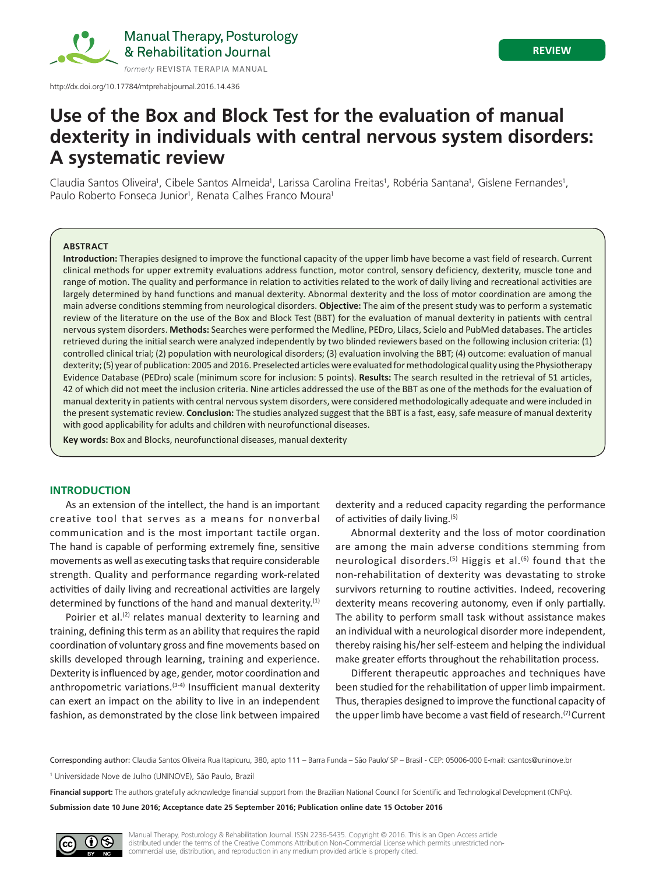

Manual Therapy, Posturology & Rehabilitation Journal

**A systematic review**

# **Use of the Box and Block Test for the evaluation of manual dexterity in individuals with central nervous system disorders:**

# Claudia Santos Oliveira<sup>1</sup>, Cibele Santos Almeida<sup>1</sup>, Larissa Carolina Freitas<sup>1</sup>, Robéria Santana<sup>1</sup>, Gislene Fernandes<sup>1</sup>, Paulo Roberto Fonseca Junior<sup>1</sup>, Renata Calhes Franco Moura<sup>1</sup>

#### **ABSTRACT**

**Introduction:** Therapies designed to improve the functional capacity of the upper limb have become a vast field of research. Current clinical methods for upper extremity evaluations address function, motor control, sensory deficiency, dexterity, muscle tone and range of motion. The quality and performance in relation to activities related to the work of daily living and recreational activities are largely determined by hand functions and manual dexterity. Abnormal dexterity and the loss of motor coordination are among the main adverse conditions stemming from neurological disorders. **Objective:** The aim of the present study was to perform a systematic review of the literature on the use of the Box and Block Test (BBT) for the evaluation of manual dexterity in patients with central nervous system disorders. **Methods:** Searches were performed the Medline, PEDro, Lilacs, Scielo and PubMed databases. The articles retrieved during the initial search were analyzed independently by two blinded reviewers based on the following inclusion criteria: (1) controlled clinical trial; (2) population with neurological disorders; (3) evaluation involving the BBT; (4) outcome: evaluation of manual dexterity; (5) year of publication: 2005 and 2016. Preselected articles were evaluated for methodological quality using the Physiotherapy Evidence Database (PEDro) scale (minimum score for inclusion: 5 points). **Results:** The search resulted in the retrieval of 51 articles, 42 of which did not meet the inclusion criteria. Nine articles addressed the use of the BBT as one of the methods for the evaluation of manual dexterity in patients with central nervous system disorders, were considered methodologically adequate and were included in the present systematic review. **Conclusion:** The studies analyzed suggest that the BBT is a fast, easy, safe measure of manual dexterity with good applicability for adults and children with neurofunctional diseases.

**Key words:** Box and Blocks, neurofunctional diseases, manual dexterity

# **INTRODUCTION**

As an extension of the intellect, the hand is an important creative tool that serves as a means for nonverbal communication and is the most important tactile organ. The hand is capable of performing extremely fine, sensitive movements as well as executing tasks that require considerable strength. Quality and performance regarding work-related activities of daily living and recreational activities are largely determined by functions of the hand and manual dexterity. $(1)$ 

Poirier et al.<sup>(2)</sup> relates manual dexterity to learning and training, defining this term as an ability that requires the rapid coordination of voluntary gross and fine movements based on skills developed through learning, training and experience. Dexterity is influenced by age, gender, motor coordination and anthropometric variations.<sup>(3-4)</sup> Insufficient manual dexterity can exert an impact on the ability to live in an independent fashion, as demonstrated by the close link between impaired

dexterity and a reduced capacity regarding the performance of activities of daily living.(5)

Abnormal dexterity and the loss of motor coordination are among the main adverse conditions stemming from neurological disorders.<sup>(5)</sup> Higgis et al.<sup>(6)</sup> found that the non‑rehabilitation of dexterity was devastating to stroke survivors returning to routine activities. Indeed, recovering dexterity means recovering autonomy, even if only partially. The ability to perform small task without assistance makes an individual with a neurological disorder more independent, thereby raising his/her self-esteem and helping the individual make greater efforts throughout the rehabilitation process.

Different therapeutic approaches and techniques have been studied for the rehabilitation of upper limb impairment. Thus, therapies designed to improve the functional capacity of the upper limb have become a vast field of research.<sup>(7)</sup> Current

Corresponding author: Claudia Santos Oliveira Rua Itapicuru, 380, apto 111 – Barra Funda – São Paulo/ SP – Brasil - CEP: 05006-000 E-mail: csantos@uninove.br

<sup>1</sup> Universidade Nove de Julho (UNINOVE), São Paulo, Brazil

**Financial support:** The authors gratefully acknowledge financial support from the Brazilian National Council for Scientific and Technological Development (CNPq).

**Submission date 10 June 2016; Acceptance date 25 September 2016; Publication online date 15 October 2016**

Manual Therapy, Posturology & Rehabilitation Journal. ISSN 2236-5435. Copyright © 2016. This is an Open Access article distributed under the terms of the Creative Commons Attribution Non-Commercial License which permits unrestricted noncommercial use, distribution, and reproduction in any medium provided article is properly cited.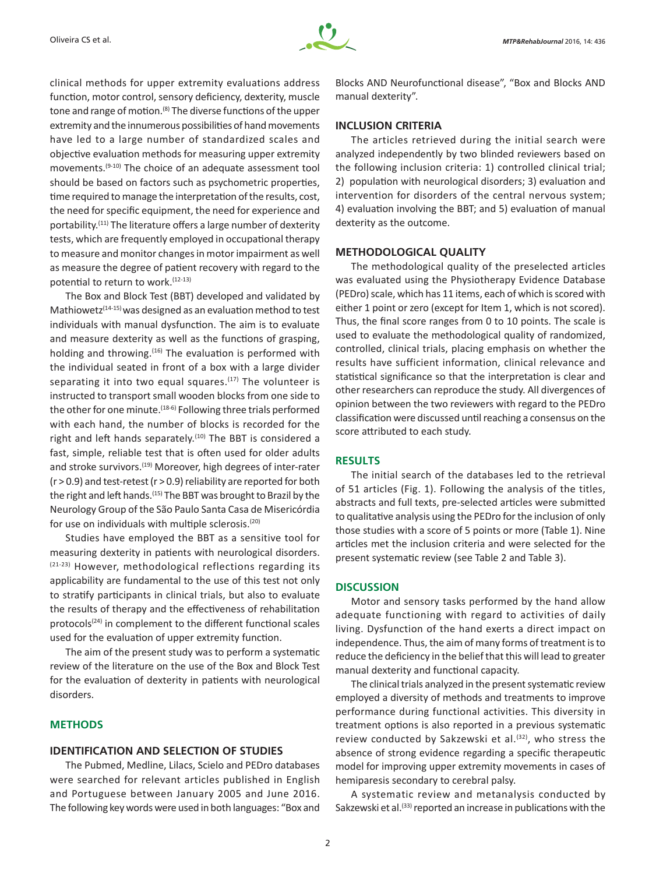clinical methods for upper extremity evaluations address function, motor control, sensory deficiency, dexterity, muscle tone and range of motion.<sup>(8)</sup> The diverse functions of the upper extremity and the innumerous possibilities of hand movements have led to a large number of standardized scales and objective evaluation methods for measuring upper extremity movements.(9-10) The choice of an adequate assessment tool should be based on factors such as psychometric properties, time required to manage the interpretation of the results, cost, the need for specific equipment, the need for experience and portability.<sup>(11)</sup> The literature offers a large number of dexterity tests, which are frequently employed in occupational therapy to measure and monitor changes in motor impairment as well as measure the degree of patient recovery with regard to the potential to return to work.<sup>(12-13)</sup>

The Box and Block Test (BBT) developed and validated by Mathiowetz<sup> $(14-15)$ </sup> was designed as an evaluation method to test individuals with manual dysfunction. The aim is to evaluate and measure dexterity as well as the functions of grasping, holding and throwing.<sup>(16)</sup> The evaluation is performed with the individual seated in front of a box with a large divider separating it into two equal squares.<sup>(17)</sup> The volunteer is instructed to transport small wooden blocks from one side to the other for one minute.<sup>(18-6)</sup> Following three trials performed with each hand, the number of blocks is recorded for the right and left hands separately.<sup>(10)</sup> The BBT is considered a fast, simple, reliable test that is often used for older adults and stroke survivors.<sup>(19)</sup> Moreover, high degrees of inter-rater  $(r > 0.9)$  and test-retest  $(r > 0.9)$  reliability are reported for both the right and left hands.(15) The BBT was brought to Brazil by the Neurology Group of the São Paulo Santa Casa de Misericórdia for use on individuals with multiple sclerosis.(20)

Studies have employed the BBT as a sensitive tool for measuring dexterity in patients with neurological disorders. (21-23) However, methodological reflections regarding its applicability are fundamental to the use of this test not only to stratify participants in clinical trials, but also to evaluate the results of therapy and the effectiveness of rehabilitation protocols<sup>(24)</sup> in complement to the different functional scales used for the evaluation of upper extremity function.

The aim of the present study was to perform a systematic review of the literature on the use of the Box and Block Test for the evaluation of dexterity in patients with neurological disorders.

#### **METHODS**

# **IDENTIFICATION AND SELECTION OF STUDIES**

The Pubmed, Medline, Lilacs, Scielo and PEDro databases were searched for relevant articles published in English and Portuguese between January 2005 and June 2016. The following key words were used in both languages: "Box and Blocks AND Neurofunctional disease", "Box and Blocks AND manual dexterity".

# **INCLUSION CRITERIA**

The articles retrieved during the initial search were analyzed independently by two blinded reviewers based on the following inclusion criteria: 1) controlled clinical trial; 2) population with neurological disorders; 3) evaluation and intervention for disorders of the central nervous system; 4) evaluation involving the BBT; and 5) evaluation of manual dexterity as the outcome.

#### **METHODOLOGICAL QUALITY**

The methodological quality of the preselected articles was evaluated using the Physiotherapy Evidence Database (PEDro) scale, which has 11 items, each of which is scored with either 1 point or zero (except for Item 1, which is not scored). Thus, the final score ranges from 0 to 10 points. The scale is used to evaluate the methodological quality of randomized, controlled, clinical trials, placing emphasis on whether the results have sufficient information, clinical relevance and statistical significance so that the interpretation is clear and other researchers can reproduce the study. All divergences of opinion between the two reviewers with regard to the PEDro classification were discussed until reaching a consensus on the score attributed to each study.

## **RESULTS**

The initial search of the databases led to the retrieval of 51 articles (Fig. 1). Following the analysis of the titles, abstracts and full texts, pre-selected articles were submitted to qualitative analysis using the PEDro for the inclusion of only those studies with a score of 5 points or more (Table 1). Nine articles met the inclusion criteria and were selected for the present systematic review (see Table 2 and Table 3).

#### **DISCUSSION**

Motor and sensory tasks performed by the hand allow adequate functioning with regard to activities of daily living. Dysfunction of the hand exerts a direct impact on independence. Thus, the aim of many forms of treatment is to reduce the deficiency in the belief that this will lead to greater manual dexterity and functional capacity.

The clinical trials analyzed in the present systematic review employed a diversity of methods and treatments to improve performance during functional activities. This diversity in treatment options is also reported in a previous systematic review conducted by Sakzewski et al.<sup>(32)</sup>, who stress the absence of strong evidence regarding a specific therapeutic model for improving upper extremity movements in cases of hemiparesis secondary to cerebral palsy.

A systematic review and metanalysis conducted by Sakzewski et al.<sup>(33)</sup> reported an increase in publications with the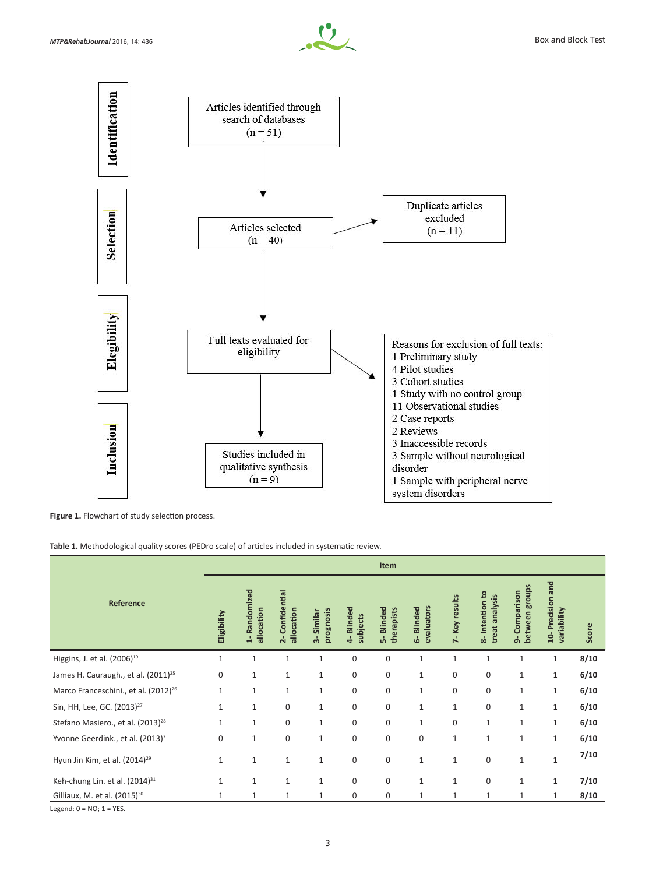



Figure 1. Flowchart of study selection process.

**Table 1.** Methodological quality scores (PEDro scale) of articles included in systematic review.

|                                                  |              |                                           |                                            |                            |                       | Item                        |                                   |                  |                                  |                                    |                                               |       |
|--------------------------------------------------|--------------|-------------------------------------------|--------------------------------------------|----------------------------|-----------------------|-----------------------------|-----------------------------------|------------------|----------------------------------|------------------------------------|-----------------------------------------------|-------|
| Reference                                        | Eligibility  | Randomized<br>allocation<br>$\frac{1}{2}$ | Confidential<br>allocation<br>$\mathbf{r}$ | prognosis<br>Similar<br>က် | 4-Blinded<br>subjects | Blinded<br>therapists<br>á, | evaluators<br><b>Blinded</b><br>ه | 7-Key results    | 8-Intention to<br>treat analysis | between groups<br>Comparison<br>ക് | Precision and<br>variability<br>$\frac{1}{2}$ | Score |
| Higgins, J. et al. (2006) <sup>19</sup>          | $\mathbf{1}$ | $\mathbf{1}$                              | 1                                          | $\mathbf{1}$               | $\mathbf 0$           | $\mathbf{0}$                | $\mathbf{1}$                      | $\mathbf{1}$     | $\mathbf{1}$                     | $\mathbf{1}$                       | $1\,$                                         | 8/10  |
| James H. Cauraugh., et al. (2011) <sup>25</sup>  | 0            | $\mathbf{1}$                              | 1                                          | $\mathbf 1$                | 0                     | $\boldsymbol{0}$            | $\mathbf{1}$                      | $\boldsymbol{0}$ | 0                                | $\mathbf{1}$                       | $1\,$                                         | 6/10  |
| Marco Franceschini., et al. (2012) <sup>26</sup> | 1            | 1                                         | 1                                          | $\mathbf 1$                | 0                     | 0                           | $\mathbf{1}$                      | $\boldsymbol{0}$ | $\mathbf 0$                      | $\mathbf{1}$                       | $\mathbf{1}$                                  | 6/10  |
| Sin, HH, Lee, GC. (2013) <sup>27</sup>           | $\mathbf{1}$ | $\mathbf{1}$                              | 0                                          | $\mathbf{1}$               | $\mathbf 0$           | $\mathbf{0}$                | $\mathbf{1}$                      | $1\,$            | $\boldsymbol{0}$                 | $1\,$                              | $\mathbf 1$                                   | 6/10  |
| Stefano Masiero., et al. (2013) <sup>28</sup>    | $\mathbf{1}$ | $\mathbf{1}$                              | 0                                          | $\mathbf 1$                | 0                     | $\boldsymbol{0}$            | $\mathbf{1}$                      | $\boldsymbol{0}$ | $\mathbf{1}$                     | $\mathbf{1}$                       | $\mathbf 1$                                   | 6/10  |
| Yvonne Geerdink., et al. (2013) <sup>7</sup>     | $\mathbf 0$  | $\mathbf{1}$                              | $\mathbf 0$                                | $\mathbf 1$                | $\mathbf 0$           | $\mathbf{0}$                | $\mathbf 0$                       | $\mathbf{1}$     | $\mathbf{1}$                     | $\mathbf{1}$                       | $\mathbf{1}$                                  | 6/10  |
| Hyun Jin Kim, et al. $(2014)^{29}$               | $\mathbf{1}$ | $\mathbf{1}$                              | $\mathbf{1}$                               | $\mathbf{1}$               | 0                     | $\boldsymbol{0}$            | $\mathbf{1}$                      | $\mathbf{1}$     | $\boldsymbol{0}$                 | $\mathbf{1}$                       | $\mathbf{1}$                                  | 7/10  |
| Keh-chung Lin. et al. (2014) <sup>31</sup>       | $\mathbf{1}$ | $\mathbf{1}$                              | $\mathbf{1}$                               | $\mathbf{1}$               | $\mathbf 0$           | $\mathbf{0}$                | $\mathbf{1}$                      | $\mathbf{1}$     | $\mathbf 0$                      | $\mathbf{1}$                       | $\mathbf{1}$                                  | 7/10  |
| Gilliaux, M. et al. (2015) <sup>30</sup>         | $\mathbf{1}$ | $\mathbf{1}$                              | $\mathbf{1}$                               | $\mathbf{1}$               | 0                     | 0                           | 1                                 | $\mathbf{1}$     | 1                                | 1                                  | 1                                             | 8/10  |

Legend:  $0 = NO$ ;  $1 = YES$ .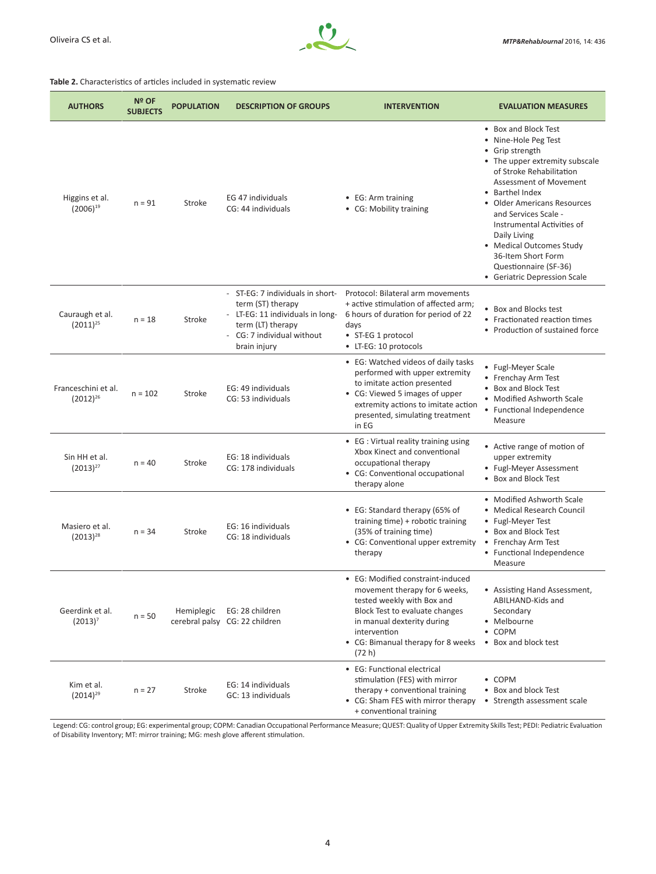

#### **Table 2.** Characteristics of articles included in systematic review

| <b>AUTHORS</b>                       | Nº OF<br><b>SUBJECTS</b> | <b>POPULATION</b> | <b>DESCRIPTION OF GROUPS</b>                                                                                                                                 | <b>INTERVENTION</b>                                                                                                                                                                                                              | <b>EVALUATION MEASURES</b>                                                                                                                                                                                                                                                                                                                                                                 |  |  |
|--------------------------------------|--------------------------|-------------------|--------------------------------------------------------------------------------------------------------------------------------------------------------------|----------------------------------------------------------------------------------------------------------------------------------------------------------------------------------------------------------------------------------|--------------------------------------------------------------------------------------------------------------------------------------------------------------------------------------------------------------------------------------------------------------------------------------------------------------------------------------------------------------------------------------------|--|--|
| Higgins et al.<br>$(2006)^{19}$      | $n = 91$                 | Stroke            | EG 47 individuals<br>CG: 44 individuals                                                                                                                      | • EG: Arm training<br>• CG: Mobility training                                                                                                                                                                                    | • Box and Block Test<br>• Nine-Hole Peg Test<br>• Grip strength<br>• The upper extremity subscale<br>of Stroke Rehabilitation<br>Assessment of Movement<br>• Barthel Index<br>• Older Americans Resources<br>and Services Scale -<br>Instrumental Activities of<br>Daily Living<br>• Medical Outcomes Study<br>36-Item Short Form<br>Questionnaire (SF-36)<br>• Geriatric Depression Scale |  |  |
| Cauraugh et al.<br>$(2011)^{25}$     | $n = 18$                 | Stroke            | - ST-EG: 7 individuals in short-<br>term (ST) therapy<br>- LT-EG: 11 individuals in long-<br>term (LT) therapy<br>- CG: 7 individual without<br>brain injury | Protocol: Bilateral arm movements<br>+ active stimulation of affected arm;<br>6 hours of duration for period of 22<br>days<br>• ST-EG 1 protocol<br>• LT-EG: 10 protocols                                                        | • Box and Blocks test<br>• Fractionated reaction times<br>• Production of sustained force                                                                                                                                                                                                                                                                                                  |  |  |
| Franceschini et al.<br>$(2012)^{26}$ | $n = 102$                | Stroke            | EG: 49 individuals<br>CG: 53 individuals                                                                                                                     | • EG: Watched videos of daily tasks<br>performed with upper extremity<br>to imitate action presented<br>• CG: Viewed 5 images of upper<br>extremity actions to imitate action<br>presented, simulating treatment<br>in EG        | • Fugl-Meyer Scale<br>• Frenchay Arm Test<br>• Box and Block Test<br>• Modified Ashworth Scale<br>• Functional Independence<br>Measure                                                                                                                                                                                                                                                     |  |  |
| Sin HH et al.<br>$(2013)^{27}$       | $n = 40$                 | Stroke            | EG: 18 individuals<br>CG: 178 individuals                                                                                                                    | • EG : Virtual reality training using<br>Xbox Kinect and conventional<br>occupational therapy<br>• CG: Conventional occupational<br>therapy alone                                                                                | • Active range of motion of<br>upper extremity<br>• Fugl-Meyer Assessment<br>• Box and Block Test                                                                                                                                                                                                                                                                                          |  |  |
| Masiero et al.<br>$(2013)^{28}$      | $n = 34$                 | Stroke            | EG: 16 individuals<br>CG: 18 individuals                                                                                                                     | • EG: Standard therapy (65% of<br>training time) + robotic training<br>(35% of training time)<br>• CG: Conventional upper extremity<br>therapy                                                                                   | • Modified Ashworth Scale<br>• Medical Research Council<br>• Fugl-Meyer Test<br>• Box and Block Test<br>• Frenchay Arm Test<br>• Functional Independence<br>Measure                                                                                                                                                                                                                        |  |  |
| Geerdink et al.<br>$(2013)^7$        | $n = 50$                 | Hemiplegic        | EG: 28 children<br>cerebral palsy CG: 22 children                                                                                                            | • EG: Modified constraint-induced<br>movement therapy for 6 weeks,<br>tested weekly with Box and<br>Block Test to evaluate changes<br>in manual dexterity during<br>intervention<br>• CG: Bimanual therapy for 8 weeks<br>(72 h) | • Assisting Hand Assessment,<br>ABILHAND-Kids and<br>Secondary<br>• Melbourne<br>• COPM<br>• Box and block test                                                                                                                                                                                                                                                                            |  |  |
| Kim et al.<br>$(2014)^{29}$          | $n = 27$                 | Stroke            | EG: 14 individuals<br>GC: 13 individuals                                                                                                                     | • EG: Functional electrical<br>stimulation (FES) with mirror<br>therapy + conventional training<br>• CG: Sham FES with mirror therapy<br>+ conventional training                                                                 | • COPM<br>• Box and block Test<br>• Strength assessment scale                                                                                                                                                                                                                                                                                                                              |  |  |

Legend: CG: control group; EG: experimental group; COPM: Canadian Occupational Performance Measure; QUEST: Quality of Upper Extremity Skills Test; PEDI: Pediatric Evaluation of Disability Inventory; MT: mirror training; MG: mesh glove afferent stimulation.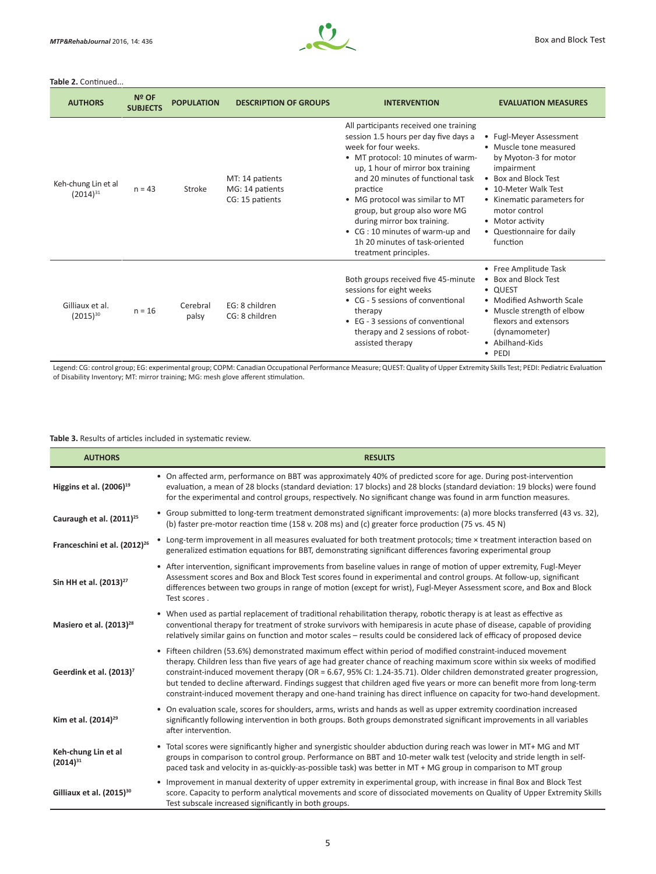

#### Table 2. Continued..

| <b>AUTHORS</b>                       | Nº OF<br><b>SUBJECTS</b> | <b>POPULATION</b> | <b>DESCRIPTION OF GROUPS</b>                          | <b>INTERVENTION</b>                                                                                                                                                                                                                                                                                                                                                                                                                  | <b>EVALUATION MEASURES</b>                                                                                                                                                                                                                           |  |
|--------------------------------------|--------------------------|-------------------|-------------------------------------------------------|--------------------------------------------------------------------------------------------------------------------------------------------------------------------------------------------------------------------------------------------------------------------------------------------------------------------------------------------------------------------------------------------------------------------------------------|------------------------------------------------------------------------------------------------------------------------------------------------------------------------------------------------------------------------------------------------------|--|
| Keh-chung Lin et al<br>$(2014)^{31}$ | $n = 43$                 | Stroke            | MT: 14 patients<br>MG: 14 patients<br>CG: 15 patients | All participants received one training<br>session 1.5 hours per day five days a<br>week for four weeks.<br>• MT protocol: 10 minutes of warm-<br>up, 1 hour of mirror box training<br>and 20 minutes of functional task<br>practice<br>• MG protocol was similar to MT<br>group, but group also wore MG<br>during mirror box training.<br>• CG: 10 minutes of warm-up and<br>1h 20 minutes of task-oriented<br>treatment principles. | • Fugl-Meyer Assessment<br>• Muscle tone measured<br>by Myoton-3 for motor<br>impairment<br>• Box and Block Test<br>• 10-Meter Walk Test<br>• Kinematic parameters for<br>motor control<br>• Motor activity<br>• Questionnaire for daily<br>function |  |
| Gilliaux et al.<br>$(2015)^{30}$     | $n = 16$                 | Cerebral<br>palsy | EG: 8 children<br>CG: 8 children                      | Both groups received five 45-minute<br>sessions for eight weeks<br>• CG - 5 sessions of conventional<br>therapy<br>• EG - 3 sessions of conventional<br>therapy and 2 sessions of robot-<br>assisted therapy                                                                                                                                                                                                                         | • Free Amplitude Task<br>• Box and Block Test<br>• QUEST<br>• Modified Ashworth Scale<br>• Muscle strength of elbow<br>flexors and extensors<br>(dynamometer)<br>• Abilhand-Kids<br>$\bullet$ PEDI                                                   |  |

Legend: CG: control group; EG: experimental group; COPM: Canadian Occupational Performance Measure; QUEST: Quality of Upper Extremity Skills Test; PEDI: Pediatric Evaluation of Disability Inventory; MT: mirror training; MG: mesh glove afferent stimulation.

**Table 3.** Results of articles included in systematic review.

| <b>AUTHORS</b>                           | <b>RESULTS</b>                                                                                                                                                                                                                                                                                                                                                                                                                                                                                                                                                                                                      |
|------------------------------------------|---------------------------------------------------------------------------------------------------------------------------------------------------------------------------------------------------------------------------------------------------------------------------------------------------------------------------------------------------------------------------------------------------------------------------------------------------------------------------------------------------------------------------------------------------------------------------------------------------------------------|
| Higgins et al. $(2006)^{19}$             | • On affected arm, performance on BBT was approximately 40% of predicted score for age. During post-intervention<br>evaluation, a mean of 28 blocks (standard deviation: 17 blocks) and 28 blocks (standard deviation: 19 blocks) were found<br>for the experimental and control groups, respectively. No significant change was found in arm function measures.                                                                                                                                                                                                                                                    |
| Cauraugh et al. (2011) <sup>25</sup>     | • Group submitted to long-term treatment demonstrated significant improvements: (a) more blocks transferred (43 vs. 32),<br>(b) faster pre-motor reaction time (158 v. 208 ms) and (c) greater force production (75 vs. 45 N)                                                                                                                                                                                                                                                                                                                                                                                       |
| Franceschini et al. (2012) <sup>26</sup> | • Long-term improvement in all measures evaluated for both treatment protocols; time × treatment interaction based on<br>generalized estimation equations for BBT, demonstrating significant differences favoring experimental group                                                                                                                                                                                                                                                                                                                                                                                |
| Sin HH et al. (2013) <sup>27</sup>       | • After intervention, significant improvements from baseline values in range of motion of upper extremity, Fugl-Meyer<br>Assessment scores and Box and Block Test scores found in experimental and control groups. At follow-up, significant<br>differences between two groups in range of motion (except for wrist), Fugl-Meyer Assessment score, and Box and Block<br>Test scores.                                                                                                                                                                                                                                |
| Masiero et al. (2013) <sup>28</sup>      | • When used as partial replacement of traditional rehabilitation therapy, robotic therapy is at least as effective as<br>conventional therapy for treatment of stroke survivors with hemiparesis in acute phase of disease, capable of providing<br>relatively similar gains on function and motor scales - results could be considered lack of efficacy of proposed device                                                                                                                                                                                                                                         |
| Geerdink et al. (2013) <sup>7</sup>      | • Fifteen children (53.6%) demonstrated maximum effect within period of modified constraint-induced movement<br>therapy. Children less than five years of age had greater chance of reaching maximum score within six weeks of modified<br>constraint-induced movement therapy (OR = 6.67, 95% CI: 1.24-35.71). Older children demonstrated greater progression,<br>but tended to decline afterward. Findings suggest that children aged five years or more can benefit more from long-term<br>constraint-induced movement therapy and one-hand training has direct influence on capacity for two-hand development. |
| Kim et al. (2014) <sup>29</sup>          | • On evaluation scale, scores for shoulders, arms, wrists and hands as well as upper extremity coordination increased<br>significantly following intervention in both groups. Both groups demonstrated significant improvements in all variables<br>after intervention.                                                                                                                                                                                                                                                                                                                                             |
| Keh-chung Lin et al<br>$(2014)^{31}$     | • Total scores were significantly higher and synergistic shoulder abduction during reach was lower in MT+MG and MT<br>groups in comparison to control group. Performance on BBT and 10-meter walk test (velocity and stride length in self-<br>paced task and velocity in as-quickly-as-possible task) was better in MT + MG group in comparison to MT group                                                                                                                                                                                                                                                        |
| Gilliaux et al. (2015) <sup>30</sup>     | • Improvement in manual dexterity of upper extremity in experimental group, with increase in final Box and Block Test<br>score. Capacity to perform analytical movements and score of dissociated movements on Quality of Upper Extremity Skills<br>Test subscale increased significantly in both groups.                                                                                                                                                                                                                                                                                                           |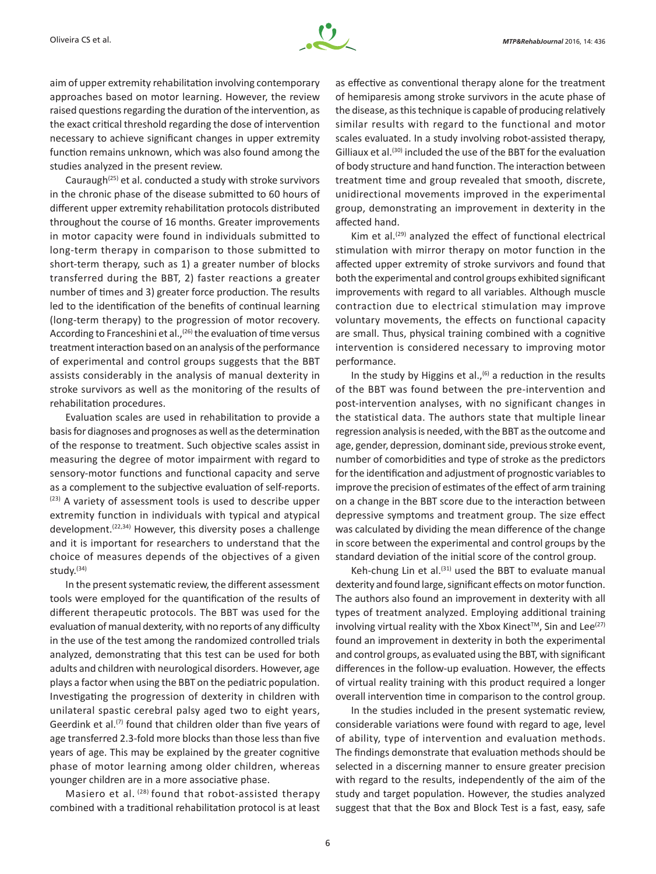

aim of upper extremity rehabilitation involving contemporary approaches based on motor learning. However, the review raised questions regarding the duration of the intervention, as the exact critical threshold regarding the dose of intervention necessary to achieve significant changes in upper extremity function remains unknown, which was also found among the studies analyzed in the present review.

Cauraugh $(25)$  et al. conducted a study with stroke survivors in the chronic phase of the disease submitted to 60 hours of different upper extremity rehabilitation protocols distributed throughout the course of 16 months. Greater improvements in motor capacity were found in individuals submitted to long-term therapy in comparison to those submitted to short-term therapy, such as 1) a greater number of blocks transferred during the BBT, 2) faster reactions a greater number of times and 3) greater force production. The results led to the identification of the benefits of continual learning (long-term therapy) to the progression of motor recovery. According to Franceshini et al.,<sup>(26)</sup> the evaluation of time versus treatment interaction based on an analysis of the performance of experimental and control groups suggests that the BBT assists considerably in the analysis of manual dexterity in stroke survivors as well as the monitoring of the results of rehabilitation procedures.

Evaluation scales are used in rehabilitation to provide a basis for diagnoses and prognoses as well as the determination of the response to treatment. Such objective scales assist in measuring the degree of motor impairment with regard to sensory-motor functions and functional capacity and serve as a complement to the subjective evaluation of self-reports. (23) A variety of assessment tools is used to describe upper extremity function in individuals with typical and atypical development.<sup> $(22,34)$ </sup> However, this diversity poses a challenge and it is important for researchers to understand that the choice of measures depends of the objectives of a given study.(34)

In the present systematic review, the different assessment tools were employed for the quantification of the results of different therapeutic protocols. The BBT was used for the evaluation of manual dexterity, with no reports of any difficulty in the use of the test among the randomized controlled trials analyzed, demonstrating that this test can be used for both adults and children with neurological disorders. However, age plays a factor when using the BBT on the pediatric population. Investigating the progression of dexterity in children with unilateral spastic cerebral palsy aged two to eight years, Geerdink et al.<sup>(7)</sup> found that children older than five years of age transferred 2.3-fold more blocks than those less than five years of age. This may be explained by the greater cognitive phase of motor learning among older children, whereas younger children are in a more associative phase.

Masiero et al. (28) found that robot-assisted therapy combined with a traditional rehabilitation protocol is at least as effective as conventional therapy alone for the treatment of hemiparesis among stroke survivors in the acute phase of the disease, as this technique is capable of producing relatively similar results with regard to the functional and motor scales evaluated. In a study involving robot-assisted therapy, Gilliaux et al.<sup>(30)</sup> included the use of the BBT for the evaluation of body structure and hand function. The interaction between treatment time and group revealed that smooth, discrete, unidirectional movements improved in the experimental group, demonstrating an improvement in dexterity in the affected hand.

Kim et al.<sup>(29)</sup> analyzed the effect of functional electrical stimulation with mirror therapy on motor function in the affected upper extremity of stroke survivors and found that both the experimental and control groups exhibited significant improvements with regard to all variables. Although muscle contraction due to electrical stimulation may improve voluntary movements, the effects on functional capacity are small. Thus, physical training combined with a cognitive intervention is considered necessary to improving motor performance.

In the study by Higgins et al., $(6)$  a reduction in the results of the BBT was found between the pre-intervention and post-intervention analyses, with no significant changes in the statistical data. The authors state that multiple linear regression analysis is needed, with the BBT as the outcome and age, gender, depression, dominant side, previous stroke event, number of comorbidities and type of stroke as the predictors for the identification and adjustment of prognostic variables to improve the precision of estimates of the effect of arm training on a change in the BBT score due to the interaction between depressive symptoms and treatment group. The size effect was calculated by dividing the mean difference of the change in score between the experimental and control groups by the standard deviation of the initial score of the control group.

Keh-chung Lin et al. $(31)$  used the BBT to evaluate manual dexterity and found large, significant effects on motor function. The authors also found an improvement in dexterity with all types of treatment analyzed. Employing additional training involving virtual reality with the Xbox Kinect<sup>™</sup>, Sin and Lee<sup>(27)</sup> found an improvement in dexterity in both the experimental and control groups, as evaluated using the BBT, with significant differences in the follow-up evaluation. However, the effects of virtual reality training with this product required a longer overall intervention time in comparison to the control group.

In the studies included in the present systematic review, considerable variations were found with regard to age, level of ability, type of intervention and evaluation methods. The findings demonstrate that evaluation methods should be selected in a discerning manner to ensure greater precision with regard to the results, independently of the aim of the study and target population. However, the studies analyzed suggest that that the Box and Block Test is a fast, easy, safe